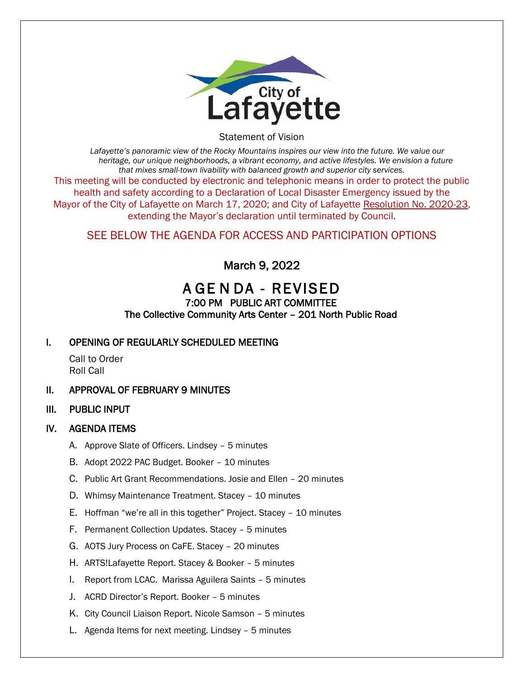

Statement of Vision

*Lafayette's panoramic view of the Rocky Mountains inspires our view into the future. We value our heritage, our unique neighborhoods, a vibrant economy, and active lifestyles. We envision a future that mixes small-town livability with balanced growth and superior city services.* This meeting will be conducted by electronic and telephonic means in order to protect the public health and safety according to a Declaration of Local Disaster Emergency issued by the Mayor of the City of Lafayette on March 17, 2020; and City of Lafayette Resolution No. 2020-23, extending the Mayor's declaration until terminated by Council.

## SEE BELOW THE AGENDA FOR ACCESS AND PARTICIPATION OPTIONS

March 9, 2022

# A GE N DA - REVISED

#### 7:00 PM PUBLIC ART COMMITTEE The Collective Community Arts Center – 201 North Public Road

## I. OPENING OF REGULARLY SCHEDULED MEETING

Call to Order Roll Call

- II. APPROVAL OF FEBRUARY 9 MINUTES
- III. PUBLIC INPUT

### IV. AGENDA ITEMS

- A. Approve Slate of Officers. Lindsey 5 minutes
- B. Adopt 2022 PAC Budget. Booker 10 minutes
- C. Public Art Grant Recommendations. Josie and Ellen 20 minutes
- D. Whimsy Maintenance Treatment. Stacey 10 minutes
- E. Hoffman "we're all in this together" Project. Stacey 10 minutes
- F. Permanent Collection Updates. Stacey 5 minutes
- G. AOTS Jury Process on CaFE. Stacey 20 minutes
- H. ARTS!Lafayette Report. Stacey & Booker 5 minutes
- I. Report from LCAC. Marissa Aguilera Saints 5 minutes
- J. ACRD Director's Report. Booker 5 minutes
- K. City Council Liaison Report. Nicole Samson 5 minutes
- L. Agenda Items for next meeting. Lindsey 5 minutes